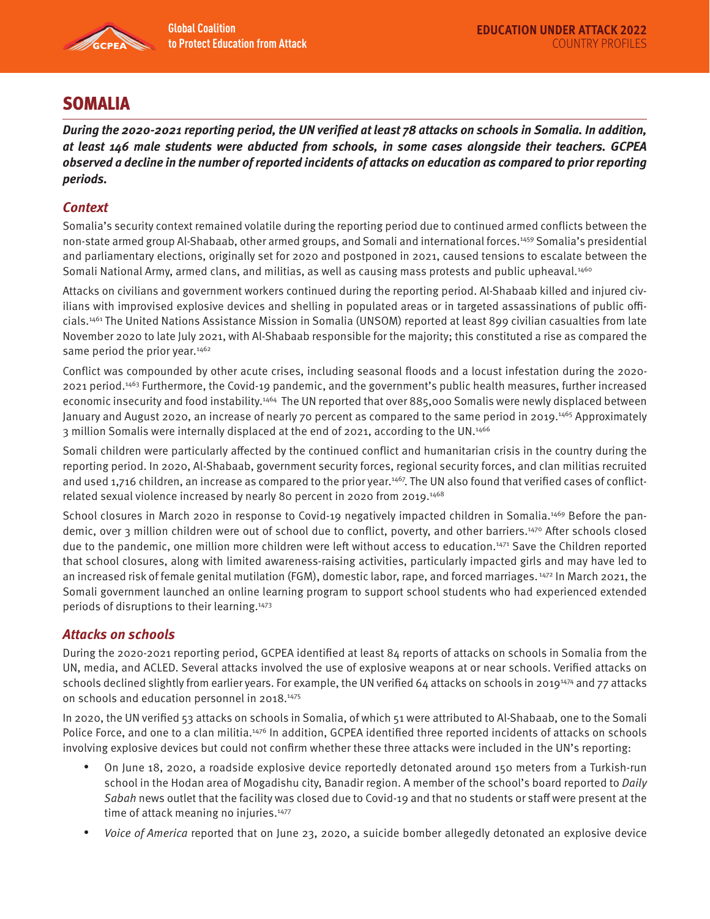

# SOMALIA

**During the 2020-2021 reporting period, the UN verified at least 78 attacks on schools in Somalia. In addition, at least 146 male students were abducted from schools, in some cases alongside their teachers. GCPEA observed a decline in the number of reported incidents of attacks on education as compared to prior reporting periods.** 

## **Context**

Somalia's security context remained volatile during the reporting period due to continued armed conflicts between the non-state armed group Al-Shabaab, other armed groups, and Somali and international forces.1459 Somalia's presidential and parliamentary elections, originally set for 2020 and postponed in 2021, caused tensions to escalate between the Somali National Army, armed clans, and militias, as well as causing mass protests and public upheaval.<sup>1460</sup>

Attacks on civilians and government workers continued during the reporting period. Al-Shabaab killed and injured civilians with improvised explosive devices and shelling in populated areas or in targeted assassinations of public officials.1461 The United Nations Assistance Mission in Somalia (UNSOM) reported at least 899 civilian casualties from late November 2020 to late July 2021, with Al-Shabaab responsible for the majority; this constituted a rise as compared the same period the prior year.<sup>1462</sup>

Conflict was compounded by other acute crises, including seasonal floods and a locust infestation during the 2020- 2021 period.1463 Furthermore, the Covid-19 pandemic, and the government's public health measures, further increased economic insecurity and food instability.<sup>1464</sup> The UN reported that over 885,000 Somalis were newly displaced between January and August 2020, an increase of nearly 70 percent as compared to the same period in 2019.<sup>1465</sup> Approximately 3 million Somalis were internally displaced at the end of 2021, according to the UN.1466

Somali children were particularly affected by the continued conflict and humanitarian crisis in the country during the reporting period. In 2020, Al-Shabaab, government security forces, regional security forces, and clan militias recruited and used 1,716 children, an increase as compared to the prior year.<sup>1467</sup>. The UN also found that verified cases of conflictrelated sexual violence increased by nearly 80 percent in 2020 from 2019.1468

School closures in March 2020 in response to Covid-19 negatively impacted children in Somalia.<sup>1469</sup> Before the pandemic, over 3 million children were out of school due to conflict, poverty, and other barriers.1470 After schools closed due to the pandemic, one million more children were left without access to education.1471 Save the Children reported that school closures, along with limited awareness-raising activities, particularly impacted girls and may have led to an increased risk of female genital mutilation (FGM), domestic labor, rape, and forced marriages. 1472 In March 2021, the Somali government launched an online learning program to support school students who had experienced extended periods of disruptions to their learning.1473

#### **Attacks on schools**

During the 2020-2021 reporting period, GCPEA identified at least 84 reports of attacks on schools in Somalia from the UN, media, and ACLED. Several attacks involved the use of explosive weapons at or near schools. Verified attacks on schools declined slightly from earlier years. For example, the UN verified 64 attacks on schools in 2019<sup>1474</sup> and 77 attacks on schools and education personnel in 2018.1475

In 2020, the UN verified 53 attacks on schools in Somalia, of which 51 were attributed to Al-Shabaab, one to the Somali Police Force, and one to a clan militia.<sup>1476</sup> In addition, GCPEA identified three reported incidents of attacks on schools involving explosive devices but could not confirm whether these three attacks were included in the UN's reporting:

- On June 18, 2020, a roadside explosive device reportedly detonated around 150 meters from a Turkish-run school in the Hodan area of Mogadishu city, Banadir region. A member of the school's board reported to Daily Sabah news outlet that the facility was closed due to Covid-19 and that no students or staff were present at the time of attack meaning no injuries.<sup>1477</sup>
- Voice of America reported that on June 23, 2020, a suicide bomber allegedly detonated an explosive device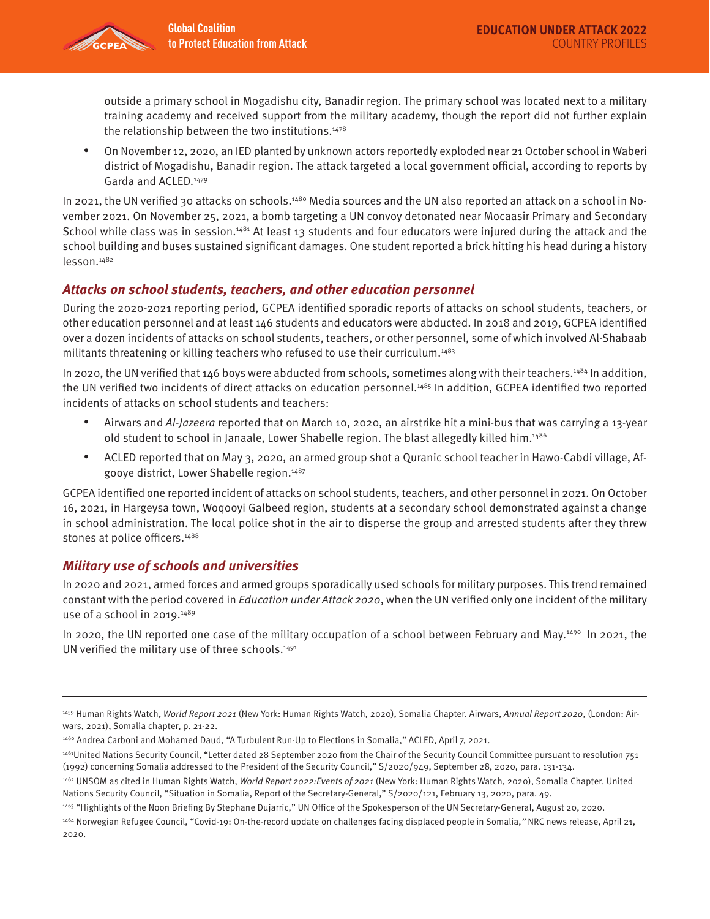outside a primary school in Mogadishu city, Banadir region. The primary school was located next to a military training academy and received support from the military academy, though the report did not further explain the relationship between the two institutions. $1478$ 

• On November 12, 2020, an IED planted by unknown actors reportedly exploded near 21 October school in Waberi district of Mogadishu, Banadir region. The attack targeted a local government official, according to reports by Garda and ACLED.<sup>1479</sup>

In 2021, the UN verified 30 attacks on schools.<sup>1480</sup> Media sources and the UN also reported an attack on a school in November 2021. On November 25, 2021, a bomb targeting a UN convoy detonated near Mocaasir Primary and Secondary School while class was in session.<sup>1481</sup> At least 13 students and four educators were injured during the attack and the school building and buses sustained significant damages. One student reported a brick hitting his head during a history lesson.1482

### **Attacks on school students, teachers, and other education personnel**

During the 2020-2021 reporting period, GCPEA identified sporadic reports of attacks on school students, teachers, or other education personnel and at least 146 students and educators were abducted. In 2018 and 2019, GCPEA identified over a dozen incidents of attacks on school students, teachers, or other personnel, some of which involved Al-Shabaab militants threatening or killing teachers who refused to use their curriculum.1483

In 2020, the UN verified that 146 boys were abducted from schools, sometimes along with their teachers.<sup>1484</sup> In addition, the UN verified two incidents of direct attacks on education personnel.<sup>1485</sup> In addition, GCPEA identified two reported incidents of attacks on school students and teachers:

- Airwars and Al-Jazeera reported that on March 10, 2020, an airstrike hit a mini-bus that was carrying a 13-year old student to school in Janaale, Lower Shabelle region. The blast allegedly killed him.1486
- ACLED reported that on May 3, 2020, an armed group shot a Quranic school teacher in Hawo-Cabdi village, Afgooye district, Lower Shabelle region.<sup>1487</sup>

GCPEA identified one reported incident of attacks on school students, teachers, and other personnel in 2021. On October 16, 2021, in Hargeysa town, Woqooyi Galbeed region, students at a secondary school demonstrated against a change in school administration. The local police shot in the air to disperse the group and arrested students after they threw stones at police officers.<sup>1488</sup>

#### **Military use of schools and universities**

In 2020 and 2021, armed forces and armed groups sporadically used schools for military purposes. This trend remained constant with the period covered in Education under Attack 2020, when the UN verified only one incident of the military use of a school in 2019.1489

In 2020, the UN reported one case of the military occupation of a school between February and May.<sup>1490</sup> In 2021, the UN verified the military use of three schools.<sup>1491</sup>

1464 Norwegian Refugee Council, "Covid-19: On-the-record update on challenges facing displaced people in Somalia," NRC news release, April 21, 2020.

<sup>1459</sup> Human Rights Watch, World Report 2021 (New York: Human Rights Watch, 2020), Somalia Chapter. Airwars, Annual Report 2020, (London: Airwars, 2021), Somalia chapter, p. 21-22.

<sup>1460</sup> Andrea Carboni and Mohamed Daud, "A Turbulent Run-Up to Elections in Somalia," ACLED, April 7, 2021.

<sup>1461</sup>United Nations Security Council, "Letter dated 28 September 2020 from the Chair of the Security Council Committee pursuant to resolution 751 (1992) concerning Somalia addressed to the President of the Security Council," S/2020/949, September 28, 2020, para. 131-134.

<sup>1462</sup> UNSOM as cited in Human Rights Watch, World Report 2022: Events of 2021 (New York: Human Rights Watch, 2020), Somalia Chapter. United Nations Security Council, "Situation in Somalia, Report of the Secretary-General," S/2020/121, February 13, 2020, para. 49.

<sup>1463 &</sup>quot;Highlights of the Noon Briefing By Stephane Dujarric," UN Office of the Spokesperson of the UN Secretary-General, August 20, 2020.